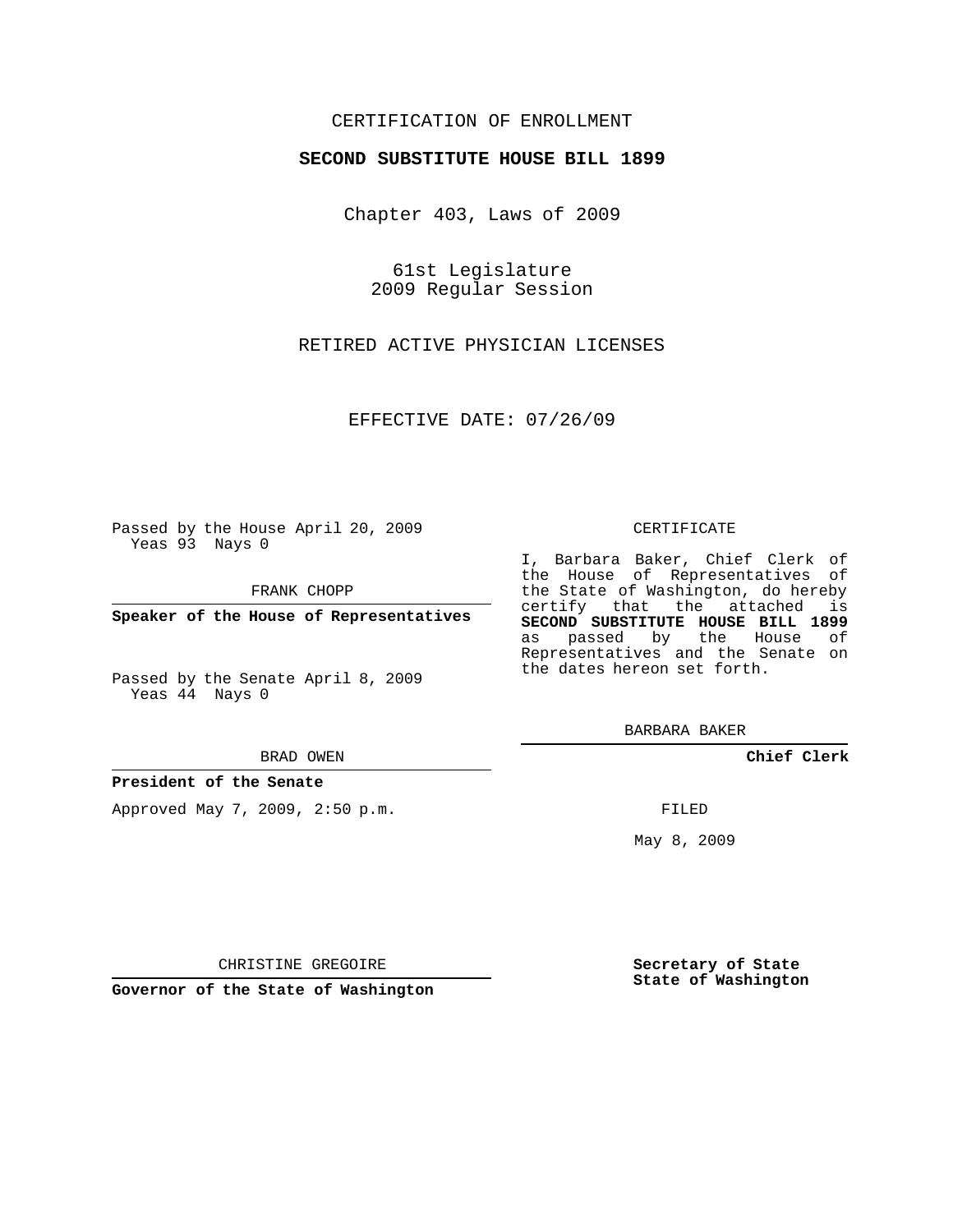### CERTIFICATION OF ENROLLMENT

### **SECOND SUBSTITUTE HOUSE BILL 1899**

Chapter 403, Laws of 2009

61st Legislature 2009 Regular Session

RETIRED ACTIVE PHYSICIAN LICENSES

EFFECTIVE DATE: 07/26/09

Passed by the House April 20, 2009 Yeas 93 Nays 0

FRANK CHOPP

**Speaker of the House of Representatives**

Passed by the Senate April 8, 2009 Yeas 44 Nays 0

BRAD OWEN

**President of the Senate**

Approved May 7, 2009, 2:50 p.m.

#### CERTIFICATE

I, Barbara Baker, Chief Clerk of the House of Representatives of the State of Washington, do hereby certify that the attached is **SECOND SUBSTITUTE HOUSE BILL 1899** as passed by the House of Representatives and the Senate on the dates hereon set forth.

BARBARA BAKER

**Chief Clerk**

FILED

May 8, 2009

**Secretary of State State of Washington**

CHRISTINE GREGOIRE

**Governor of the State of Washington**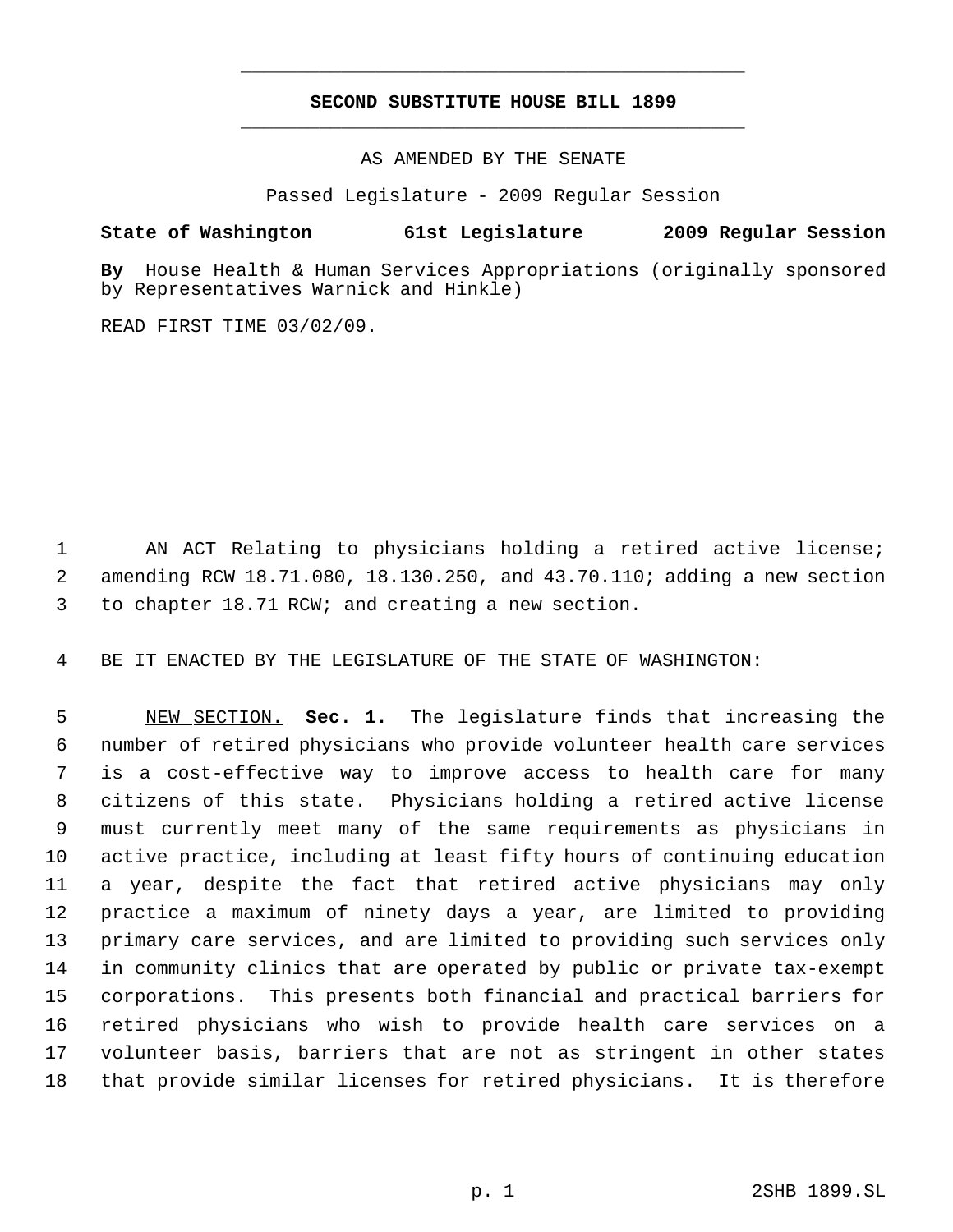# **SECOND SUBSTITUTE HOUSE BILL 1899** \_\_\_\_\_\_\_\_\_\_\_\_\_\_\_\_\_\_\_\_\_\_\_\_\_\_\_\_\_\_\_\_\_\_\_\_\_\_\_\_\_\_\_\_\_

\_\_\_\_\_\_\_\_\_\_\_\_\_\_\_\_\_\_\_\_\_\_\_\_\_\_\_\_\_\_\_\_\_\_\_\_\_\_\_\_\_\_\_\_\_

AS AMENDED BY THE SENATE

Passed Legislature - 2009 Regular Session

## **State of Washington 61st Legislature 2009 Regular Session**

**By** House Health & Human Services Appropriations (originally sponsored by Representatives Warnick and Hinkle)

READ FIRST TIME 03/02/09.

 AN ACT Relating to physicians holding a retired active license; amending RCW 18.71.080, 18.130.250, and 43.70.110; adding a new section to chapter 18.71 RCW; and creating a new section.

BE IT ENACTED BY THE LEGISLATURE OF THE STATE OF WASHINGTON:

 NEW SECTION. **Sec. 1.** The legislature finds that increasing the number of retired physicians who provide volunteer health care services is a cost-effective way to improve access to health care for many citizens of this state. Physicians holding a retired active license must currently meet many of the same requirements as physicians in active practice, including at least fifty hours of continuing education a year, despite the fact that retired active physicians may only practice a maximum of ninety days a year, are limited to providing primary care services, and are limited to providing such services only in community clinics that are operated by public or private tax-exempt corporations. This presents both financial and practical barriers for retired physicians who wish to provide health care services on a volunteer basis, barriers that are not as stringent in other states that provide similar licenses for retired physicians. It is therefore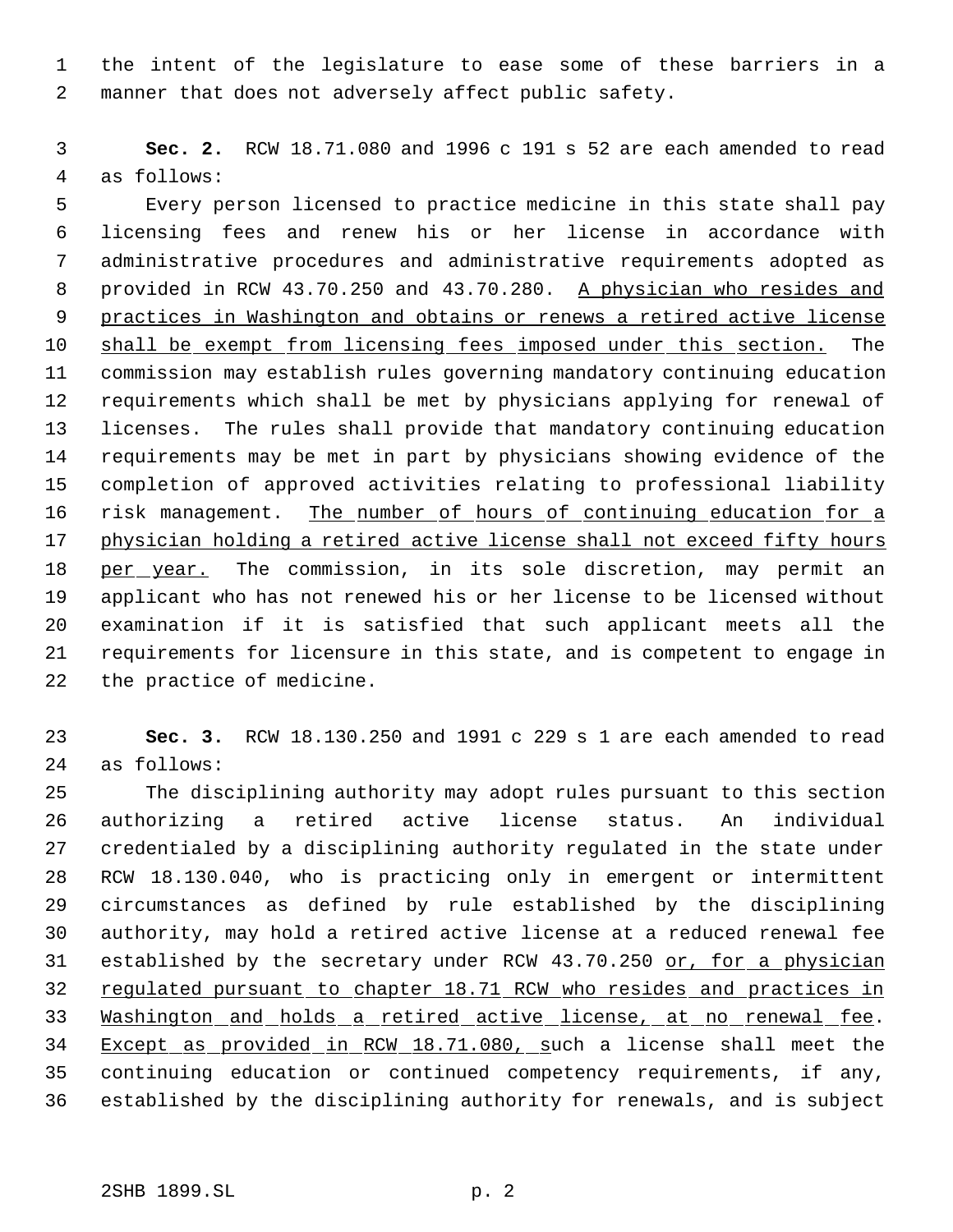the intent of the legislature to ease some of these barriers in a manner that does not adversely affect public safety.

 **Sec. 2.** RCW 18.71.080 and 1996 c 191 s 52 are each amended to read as follows:

 Every person licensed to practice medicine in this state shall pay licensing fees and renew his or her license in accordance with administrative procedures and administrative requirements adopted as 8 provided in RCW 43.70.250 and 43.70.280. A physician who resides and practices in Washington and obtains or renews a retired active license shall be exempt from licensing fees imposed under this section. The commission may establish rules governing mandatory continuing education requirements which shall be met by physicians applying for renewal of licenses. The rules shall provide that mandatory continuing education requirements may be met in part by physicians showing evidence of the completion of approved activities relating to professional liability 16 risk management. The number of hours of continuing education for a 17 physician holding a retired active license shall not exceed fifty hours 18 per year. The commission, in its sole discretion, may permit an applicant who has not renewed his or her license to be licensed without examination if it is satisfied that such applicant meets all the requirements for licensure in this state, and is competent to engage in the practice of medicine.

 **Sec. 3.** RCW 18.130.250 and 1991 c 229 s 1 are each amended to read as follows:

 The disciplining authority may adopt rules pursuant to this section authorizing a retired active license status. An individual credentialed by a disciplining authority regulated in the state under RCW 18.130.040, who is practicing only in emergent or intermittent circumstances as defined by rule established by the disciplining authority, may hold a retired active license at a reduced renewal fee 31 established by the secretary under RCW 43.70.250 or, for a physician 32 regulated pursuant to chapter 18.71 RCW who resides and practices in 33 Washington and holds a retired active license, at no renewal fee. Except as provided in RCW 18.71.080, such a license shall meet the continuing education or continued competency requirements, if any, established by the disciplining authority for renewals, and is subject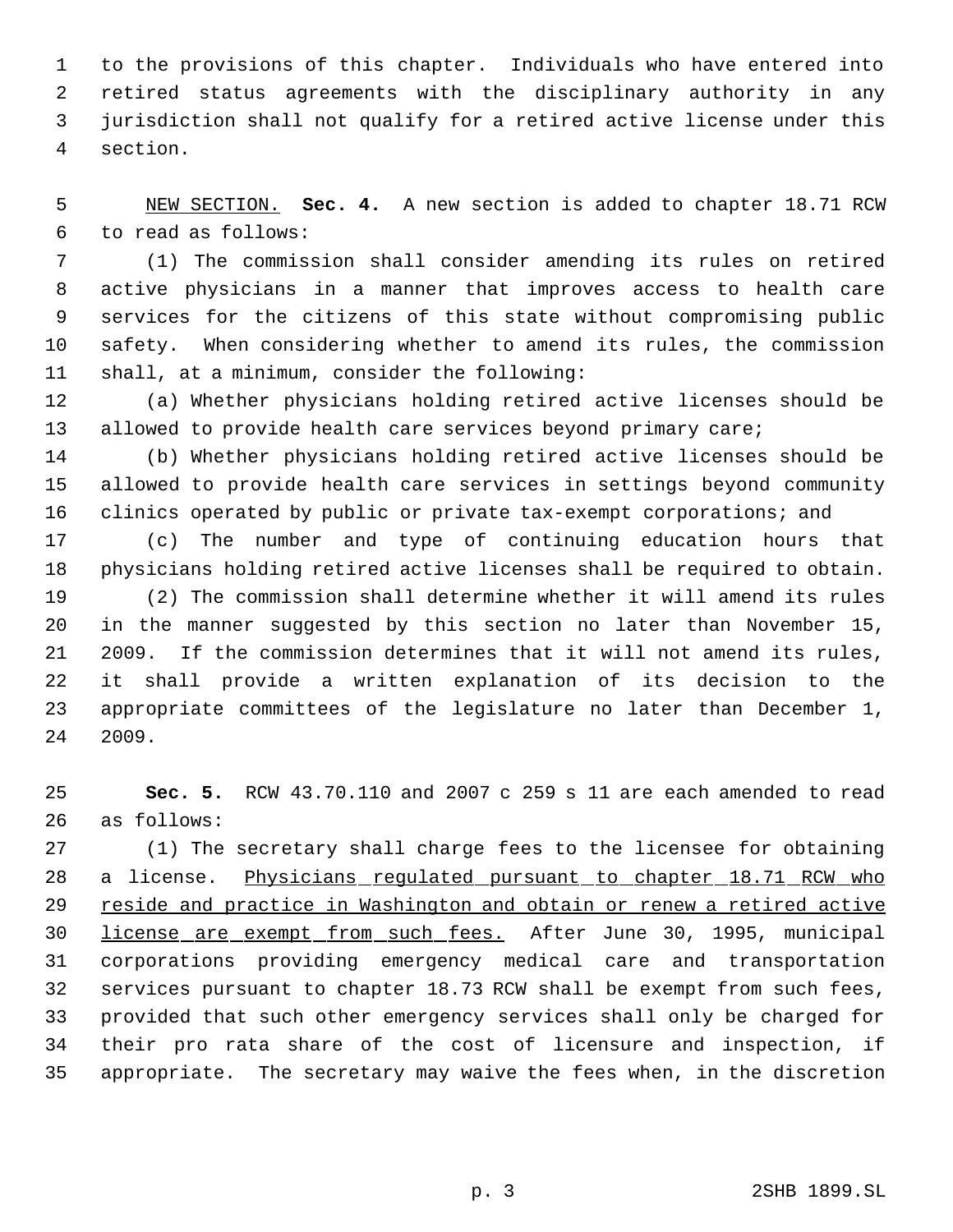to the provisions of this chapter. Individuals who have entered into retired status agreements with the disciplinary authority in any jurisdiction shall not qualify for a retired active license under this section.

 NEW SECTION. **Sec. 4.** A new section is added to chapter 18.71 RCW to read as follows:

 (1) The commission shall consider amending its rules on retired active physicians in a manner that improves access to health care services for the citizens of this state without compromising public safety. When considering whether to amend its rules, the commission shall, at a minimum, consider the following:

 (a) Whether physicians holding retired active licenses should be allowed to provide health care services beyond primary care;

 (b) Whether physicians holding retired active licenses should be allowed to provide health care services in settings beyond community clinics operated by public or private tax-exempt corporations; and

 (c) The number and type of continuing education hours that physicians holding retired active licenses shall be required to obtain. (2) The commission shall determine whether it will amend its rules in the manner suggested by this section no later than November 15, 2009. If the commission determines that it will not amend its rules, it shall provide a written explanation of its decision to the appropriate committees of the legislature no later than December 1, 2009.

 **Sec. 5.** RCW 43.70.110 and 2007 c 259 s 11 are each amended to read as follows:

 (1) The secretary shall charge fees to the licensee for obtaining 28 a license. Physicians regulated pursuant to chapter 18.71 RCW who 29 reside and practice in Washington and obtain or renew a retired active license are exempt from such fees. After June 30, 1995, municipal corporations providing emergency medical care and transportation services pursuant to chapter 18.73 RCW shall be exempt from such fees, provided that such other emergency services shall only be charged for their pro rata share of the cost of licensure and inspection, if appropriate. The secretary may waive the fees when, in the discretion